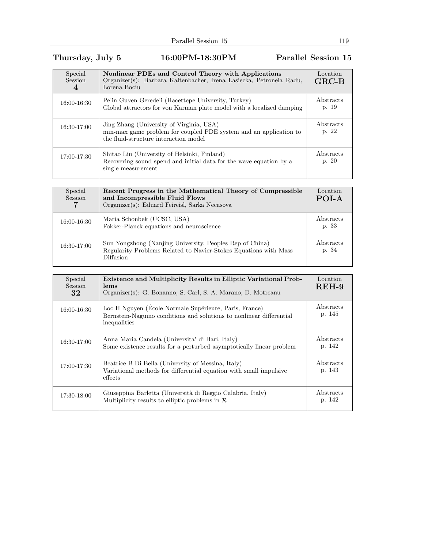## Thursday, July 5 16:00PM-18:30PM Parallel Session 15

| Special<br><b>Session</b><br>$\overline{4}$ | Nonlinear PDEs and Control Theory with Applications<br>Organizer(s): Barbara Kaltenbacher, Irena Lasiecka, Petronela Radu,<br>Lorena Bociu             | Location<br>$GRC-B$ |
|---------------------------------------------|--------------------------------------------------------------------------------------------------------------------------------------------------------|---------------------|
| 16:00-16:30                                 | Pelin Guven Geredeli (Hacettepe University, Turkey)<br>Global attractors for von Karman plate model with a localized damping                           | Abstracts<br>p. 19  |
| 16:30-17:00                                 | Jing Zhang (University of Virginia, USA)<br>min-max game problem for coupled PDE system and an application to<br>the fluid-structure interaction model | Abstracts<br>p. 22  |
| 17:00-17:30                                 | Shitao Liu (University of Helsinki, Finland)<br>Recovering sound spend and initial data for the wave equation by a<br>single measurement               | Abstracts<br>p. 20  |

| Special<br>Session | Recent Progress in the Mathematical Theory of Compressible<br>and Incompressible Fluid Flows<br>Organizer(s): Eduard Feireisl, Sarka Necasova | Location<br>POI-A  |
|--------------------|-----------------------------------------------------------------------------------------------------------------------------------------------|--------------------|
| 16:00-16:30        | Maria Schonbek (UCSC, USA)<br>Fokker-Planck equations and neuroscience                                                                        | Abstracts<br>p. 33 |
| 16:30-17:00        | Sun Yongzhong (Nanjing University, Peoples Rep of China)<br>Regularity Problems Related to Navier-Stokes Equations with Mass<br>Diffusion     | Abstracts<br>p. 34 |

| Special<br>Session<br>32 | <b>Existence and Multiplicity Results in Elliptic Variational Prob-</b><br>lems<br>Organizer(s): G. Bonanno, S. Carl, S. A. Marano, D. Motreanu | Location<br>$REH-9$ |
|--------------------------|-------------------------------------------------------------------------------------------------------------------------------------------------|---------------------|
| 16:00-16:30              | Loc H Nguyen (École Normale Supérieure, Paris, France)<br>Bernstein-Nagumo conditions and solutions to nonlinear differential<br>inequalities   | Abstracts<br>p. 145 |
| 16:30-17:00              | Anna Maria Candela (Universita' di Bari, Italy)<br>Some existence results for a perturbed asymptotically linear problem                         | Abstracts<br>p. 142 |
| 17:00-17:30              | Beatrice B Di Bella (University of Messina, Italy)<br>Variational methods for differential equation with small impulsive<br>effects             | Abstracts<br>p. 143 |
| 17:30-18:00              | Giuseppina Barletta (Università di Reggio Calabria, Italy)<br>Multiplicity results to elliptic problems in $\mathcal R$                         | Abstracts<br>p. 142 |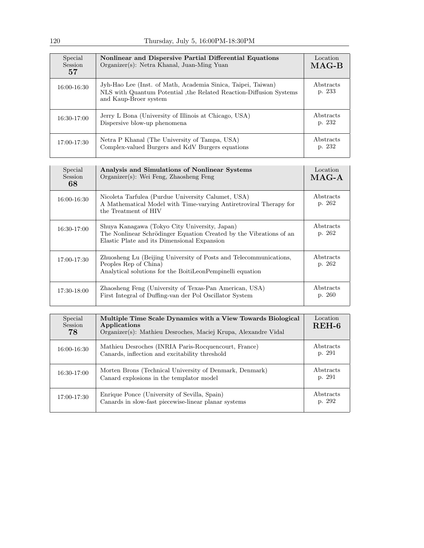| Special<br><b>Session</b><br>57 | Nonlinear and Dispersive Partial Differential Equations<br>Organizer(s): Netra Khanal, Juan-Ming Yuan                                                       | Location<br>$MAG-B$ |
|---------------------------------|-------------------------------------------------------------------------------------------------------------------------------------------------------------|---------------------|
| 16:00-16:30                     | Jyh-Hao Lee (Inst. of Math, Academia Sinica, Taipei, Taiwan)<br>NLS with Quantum Potential, the Related Reaction-Diffusion Systems<br>and Kaup-Broer system | Abstracts<br>p. 233 |
| 16:30-17:00                     | Jerry L Bona (University of Illinois at Chicago, USA)<br>Dispersive blow-up phenomena                                                                       | Abstracts<br>p. 232 |
| 17:00-17:30                     | Netra P Khanal (The University of Tampa, USA)<br>Complex-valued Burgers and KdV Burgers equations                                                           | Abstracts<br>p. 232 |

| Special<br>Session<br>68 | Analysis and Simulations of Nonlinear Systems<br>$Organizer(s)$ : Wei Feng, Zhaosheng Feng                                                                         | Location<br>$MAG-A$ |
|--------------------------|--------------------------------------------------------------------------------------------------------------------------------------------------------------------|---------------------|
| 16:00-16:30              | Nicoleta Tarfulea (Purdue University Calumet, USA)<br>A Mathematical Model with Time-varying Antiretroviral Therapy for<br>the Treatment of HIV                    | Abstracts<br>p. 262 |
| $16:30-17:00$            | Shuya Kanagawa (Tokyo City University, Japan)<br>The Nonlinear Schrödinger Equation Created by the Vibrations of an<br>Elastic Plate and its Dimensional Expansion | Abstracts<br>p. 262 |
| 17:00-17:30              | Zhuosheng Lu (Beijing University of Posts and Telecommunications,<br>Peoples Rep of China)<br>Analytical solutions for the BoitiLeonPempinelli equation            | Abstracts<br>p. 262 |
| 17:30-18:00              | Zhaosheng Feng (University of Texas-Pan American, USA)<br>First Integral of Duffing-van der Pol Oscillator System                                                  | Abstracts<br>p. 260 |

| Special<br><b>Session</b><br>78 | Multiple Time Scale Dynamics with a View Towards Biological<br>Applications<br>Organizer(s): Mathieu Desroches, Maciej Krupa, Alexandre Vidal | Location<br>$REH-6$ |
|---------------------------------|-----------------------------------------------------------------------------------------------------------------------------------------------|---------------------|
| 16:00-16:30                     | Mathieu Desroches (INRIA Paris-Rocquencourt, France)<br>Canards, inflection and excitability threshold                                        | Abstracts<br>p. 291 |
| 16:30-17:00                     | Morten Brons (Technical University of Denmark, Denmark)<br>Canard explosions in the templator model                                           | Abstracts<br>p. 291 |
| 17:00-17:30                     | Enrique Ponce (University of Sevilla, Spain)<br>Canards in slow-fast piecewise-linear planar systems                                          | Abstracts<br>p. 292 |